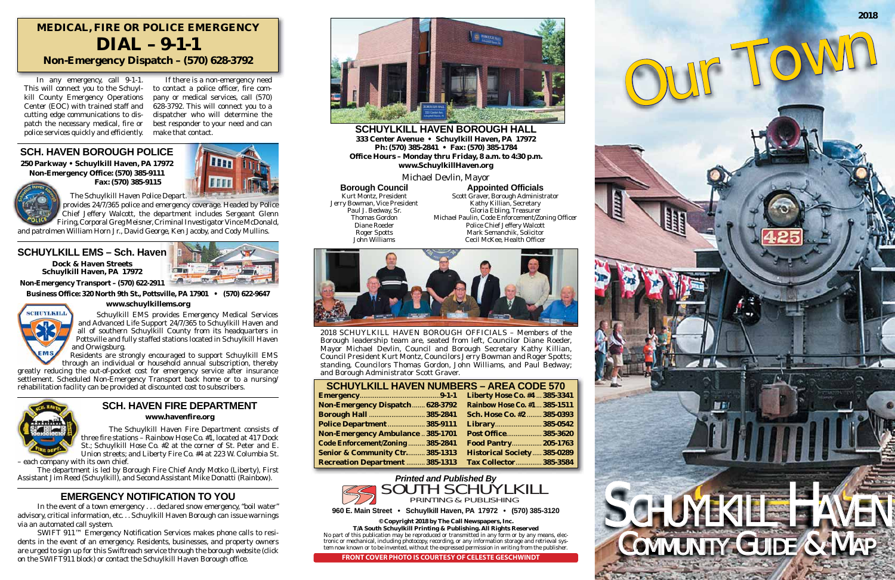| <b>SCHUYLKILL HAVEN NUMBERS - AREA CODE 570</b> |  |                                    |
|-------------------------------------------------|--|------------------------------------|
|                                                 |  | Liberty Hose Co. #4  385-3341      |
| Non-Emergency Dispatch 628-3792                 |  | Rainbow Hose Co. #1  385-1511      |
| <b>Borough Hall  385-2841</b>                   |  | Sch. Hose Co. #2  385-0393         |
| <b>Police Department  385-9111</b>              |  | Library 385-0542                   |
| <b>Non-Emergency Ambulance  385-1701</b>        |  | Post Office 385-3620               |
| Code Enforcement/Zoning  385-2841               |  | <b>Food Pantry 205-1763</b>        |
| Senior & Community Ctr 385-1313                 |  | <b>Historical Society 385-0289</b> |
| <b>Recreation Department  385-1313</b>          |  | <b>Tax Collector 385-3584</b>      |

2018 SCHUYLKILL HAVEN BOROUGH OFFICIALS – Members of the Borough leadership team are, seated from left, Councilor Diane Roeder, Mayor Michael Devlin, Council and Borough Secretary Kathy Killian, Council President Kurt Montz, Councilors Jerry Bowman and Roger Spotts; standing, Councilors Thomas Gordon, John Williams, and Paul Bedway; and Borough Administrator Scott Graver.

**SCHUYLKILL HAVEN BOROUGH HALL333 Center Avenue • Schuylkill Haven, PA 17972 Ph: (570) 385-2841 • Fax: (570) 385-1784 Office Hours – Monday thru Friday, 8 a.m. to 4:30 p.m. www.SchuylkillHaven.org**

Michael Devlin, Mayor

**Borough Council** Kurt Montz, President Jerry Bowman, Vice President Paul J. Bedway, Sr. Thomas Gordon Diane Roeder Roger Spotts John Williams

## **MEDICAL, FIRE OR POLICE EMERGENCY DIAL – 9-1-1Non-Emergency Dispatch – (570) 628-3792**

## **SCH. HAVEN BOROUGH POLICE**

**250 Parkway • Schuylkill Haven, PA 17972 Non-Emergency Office: (570) 385-9111 Fax: (570) 385-9115**





## **SCHUYLKILL EMS – Sch. HavenDock & Haven StreetsSchuylkill Haven, PA 17972**



**Non-Emergency Transport – (570) 622-2911**

**Business Office: 320 North 9th St., Pottsville, PA 17901 • (570) 622-9647**



## **www.schuylkillems.org**

## **EMERGENCY NOTIFICATION TO YOU**

 In the event of a town emergency . . . declared snow emergency, "boil water" advisory, critical information, etc. . . Schuylkill Haven Borough can issue warnings via an automated call system.

 SWIFT 911™ Emergency Notification Services makes phone calls to residents in the event of an emergency. Residents, businesses, and property owners are urged to sign up for this Swiftreach service through the borough website (click on the SWIFT911 block) or contact the Schuylkill Haven Borough office.



**Appointed Officials** Scott Graver, Borough Administrator Kathy Killian, Secretary Gloria Ebling, Treasurer Michael Paulin, Code Enforcement/Zoning Officer Police Chief Jeffery Walcott Mark Semanchik, Solicitor Cecil McKee, Health Officer



 The Schuylkill Haven Police Depart. provides 24/7/365 police and emergency coverage. Headed by Police Chief Jeffery Walcott, the department includes Sergeant Glenn Firing, Corporal Greg Meisner, Criminal Investigator Vince McDonald,

and patrolmen William Horn Jr., David George, Ken Jacoby, and Cody Mullins.

 Schuylkill EMS provides Emergency Medical Services and Advanced Life Support 24/7/365 to Schuylkill Haven and all of southern Schuylkill County from its headquarters in Pottsville and fully staffed stations located in Schuylkill Haven and Orwigsburg.

 Residents are strongly encouraged to support Schuylkill EMS through an individual or household annual subscription, thereby

greatly reducing the out-of-pocket cost for emergency service after insurance settlement. Scheduled Non-Emergency Transport back home or to a nursing/ rehabilitation facility can be provided at discounted cost to subscribers.



 The Schuylkill Haven Fire Department consists of three fire stations – Rainbow Hose Co.  $\#$ 1, located at 417 Dock St.; Schuylkill Hose Co. #2 at the corner of St. Peter and E. Union streets; and Liberty Fire Co. #4 at 223 W. Columbia St.

– each company with its own chief.

 The department is led by Borough Fire Chief Andy Motko (Liberty), First Assistant Jim Reed (Schuylkill), and Second Assistant Mike Donatti (Rainbow).

## **SCH. HAVEN FIRE DEPARTMENT**

**www.havenfire.org**

 In any emergency, call 9-1-1. This will connect you to the Schuylkill County Emergency Operations Center (EOC) with trained staff and cutting edge communications to dispatch the necessary medical, fire or police services quickly and efficiently.

 If there is a non-emergency need to contact a police officer, fire company or medical services, call (570) 628-3792. This will connect you to a dispatcher who will determine the best responder to your need and can make that contact.

**960 E. Main Street • Schuylkill Haven, PA 17972 • (570) 385-3120**

**© Copyright 2018 by The Call Newspapers, Inc. T/A South Schuylkill Printing & Publishing. All Rights Reserved** No part of this publication may be reproduced or transmitted in any form or by any means, electronic or mechanical, including photocopy, recording, or any information storage and retrieval system now known or to be invented, without the expressed permission in writing from the publisher.



**FRONT COVER PHOTO IS COURTESY OF CELESTE GESCHWINDT**